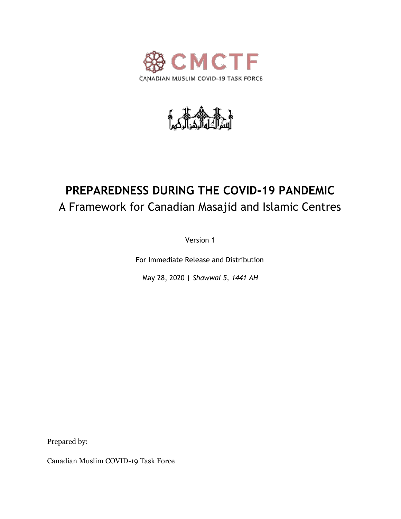



# **PREPAREDNESS DURING THE COVID-19 PANDEMIC** A Framework for Canadian Masajid and Islamic Centres

Version 1

For Immediate Release and Distribution

May 28, 2020 | *Shawwal 5, 1441 AH*

Prepared by:

Canadian Muslim COVID-19 Task Force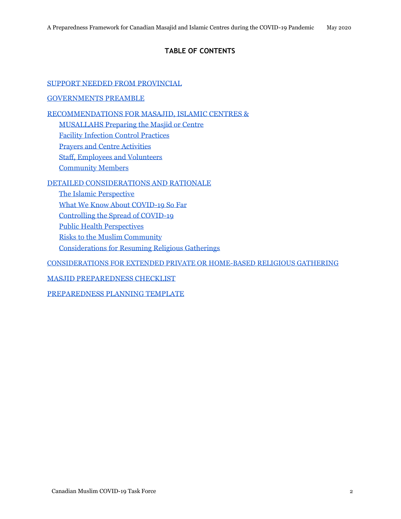# **TABLE OF CONTENTS**

[SUPPORT NEEDED FROM PROVINCIAL](#page-2-0)

#### [GOVERNMENTS](#page-2-0) [PREAMBLE](#page-3-0)

[RECOMMENDATIONS FOR MASAJID, ISLAMIC CENTRES &](#page-5-0)

[MUSALLAHS Preparing the Masjid or Centre](#page-5-0)

[Facility Infection Control Practices](#page-5-0)

[Prayers and Centre Activities](#page-7-0)

[Staff, Employees and Volunteers](#page-8-0)

[Community Members](#page-8-0)

#### [DETAILED CONSIDERATIONS AND RATIONALE](#page-10-0)

[The Islamic Perspective](#page-10-0)

[What We Know About COVID-19 So Far](#page-10-0)

[Controlling the Spread of COVID-19](#page-12-0)

[Public Health Perspectives](#page-14-0)

[Risks to the Muslim Community](#page-15-0)

[Considerations for Resuming Religious Gatherings](#page-15-0)

[CONSIDERATIONS FOR EXTENDED PRIVATE OR HOME-BASED RELIGIOUS GATHERING](#page-18-0)

[MASJID PREPAREDNESS CHECKLIST](#page-20-0)

[PREPAREDNESS PLANNING TEMPLATE](#page-22-0)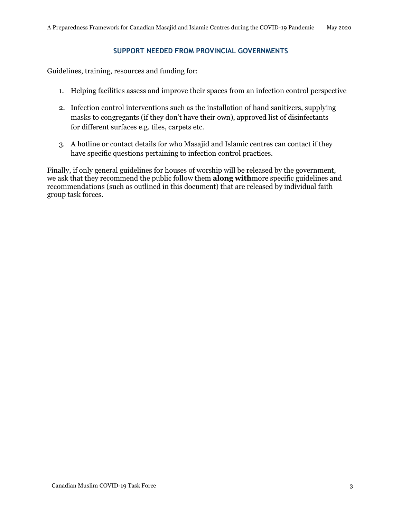#### **SUPPORT NEEDED FROM PROVINCIAL GOVERNMENTS**

<span id="page-2-0"></span>Guidelines, training, resources and funding for:

- 1. Helping facilities assess and improve their spaces from an infection control perspective
- 2. Infection control interventions such as the installation of hand sanitizers, supplying masks to congregants (if they don't have their own), approved list of disinfectants for different surfaces e.g. tiles, carpets etc.
- 3. A hotline or contact details for who Masajid and Islamic centres can contact if they have specific questions pertaining to infection control practices.

Finally, if only general guidelines for houses of worship will be released by the government, we ask that they recommend the public follow them **along with**more specific guidelines and recommendations (such as outlined in this document) that are released by individual faith group task forces.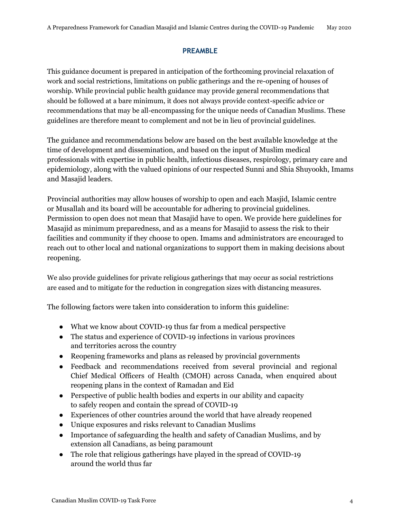#### **PREAMBLE**

<span id="page-3-0"></span>This guidance document is prepared in anticipation of the forthcoming provincial relaxation of work and social restrictions, limitations on public gatherings and the re-opening of houses of worship. While provincial public health guidance may provide general recommendations that should be followed at a bare minimum, it does not always provide context-specific advice or recommendations that may be all-encompassing for the unique needs of Canadian Muslims. These guidelines are therefore meant to complement and not be in lieu of provincial guidelines.

The guidance and recommendations below are based on the best available knowledge at the time of development and dissemination, and based on the input of Muslim medical professionals with expertise in public health, infectious diseases, respirology, primary care and epidemiology, along with the valued opinions of our respected Sunni and Shia Shuyookh, Imams and Masajid leaders.

Provincial authorities may allow houses of worship to open and each Masjid, Islamic centre or Musallah and its board will be accountable for adhering to provincial guidelines. Permission to open does not mean that Masajid have to open. We provide here guidelines for Masajid as minimum preparedness, and as a means for Masajid to assess the risk to their facilities and community if they choose to open. Imams and administrators are encouraged to reach out to other local and national organizations to support them in making decisions about reopening.

We also provide guidelines for private religious gatherings that may occur as social restrictions are eased and to mitigate for the reduction in congregation sizes with distancing measures.

The following factors were taken into consideration to inform this guideline:

- What we know about COVID-19 thus far from a medical perspective
- The status and experience of COVID-19 infections in various provinces and territories across the country
- Reopening frameworks and plans as released by provincial governments
- Feedback and recommendations received from several provincial and regional Chief Medical Officers of Health (CMOH) across Canada, when enquired about reopening plans in the context of Ramadan and Eid
- Perspective of public health bodies and experts in our ability and capacity to safely reopen and contain the spread of COVID-19
- Experiences of other countries around the world that have already reopened
- Unique exposures and risks relevant to Canadian Muslims
- Importance of safeguarding the health and safety of Canadian Muslims, and by extension all Canadians, as being paramount
- The role that religious gatherings have played in the spread of COVID-19 around the world thus far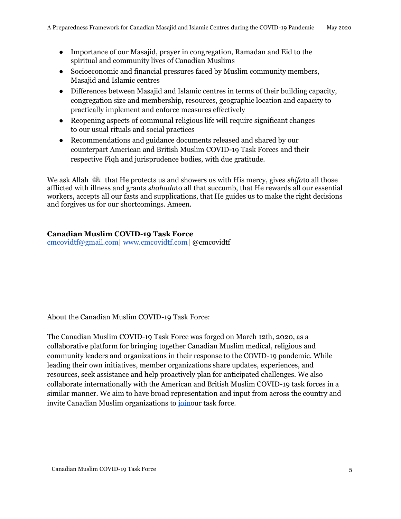- Importance of our Masajid, prayer in congregation, Ramadan and Eid to the spiritual and community lives of Canadian Muslims
- Socioeconomic and financial pressures faced by Muslim community members, Masajid and Islamic centres
- Differences between Masajid and Islamic centres in terms of their building capacity, congregation size and membership, resources, geographic location and capacity to practically implement and enforce measures effectively
- Reopening aspects of communal religious life will require significant changes to our usual rituals and social practices
- Recommendations and guidance documents released and shared by our counterpart American and British Muslim COVID-19 Task Forces and their respective Fiqh and jurisprudence bodies, with due gratitude.

We ask Allah  $\mathbb{R}$  that He protects us and showers us with His mercy, gives *shifa*to all those afflicted with illness and grants *shahada*to all that succumb, that He rewards all our essential workers, accepts all our fasts and supplications, that He guides us to make the right decisions and forgives us for our shortcomings. Ameen.

## **Canadian Muslim COVID-19 Task Force**

[cmcovidtf@gmail.com|](mailto:cmcovidtf@gmail.com) [www.cmcovidtf.com|](http://www.cmcovidtf.com/) @cmcovidtf

About the Canadian Muslim COVID-19 Task Force:

The Canadian Muslim COVID-19 Task Force was forged on March 12th, 2020, as a collaborative platform for bringing together Canadian Muslim medical, religious and community leaders and organizations in their response to the COVID-19 pandemic. While leading their own initiatives, member organizations share updates, experiences, and resources, seek assistance and help proactively plan for anticipated challenges. We also collaborate internationally with the American and British Muslim COVID-19 task forces in a similar manner. We aim to have broad representation and input from across the country and invite Canadian Muslim organizations to [joino](https://www.cmcovidtf.com/join-us)ur task force.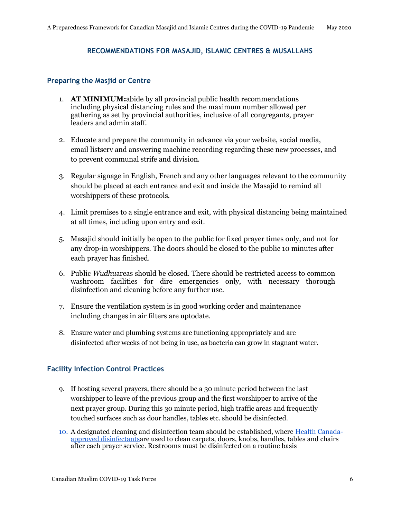#### <span id="page-5-0"></span>**RECOMMENDATIONS FOR MASAJID, ISLAMIC CENTRES & MUSALLAHS**

#### **Preparing the Masjid or Centre**

- 1. **AT MINIMUM:**abide by all provincial public health recommendations including physical distancing rules and the maximum number allowed per gathering as set by provincial authorities, inclusive of all congregants, prayer leaders and admin staff.
- 2. Educate and prepare the community in advance via your website, social media, email listserv and answering machine recording regarding these new processes, and to prevent communal strife and division.
- 3. Regular signage in English, French and any other languages relevant to the community should be placed at each entrance and exit and inside the Masajid to remind all worshippers of these protocols.
- 4. Limit premises to a single entrance and exit, with physical distancing being maintained at all times, including upon entry and exit.
- 5. Masajid should initially be open to the public for fixed prayer times only, and not for any drop-in worshippers. The doors should be closed to the public 10 minutes after each prayer has finished.
- 6. Public *Wudhu*areas should be closed. There should be restricted access to common washroom facilities for dire emergencies only, with necessary thorough disinfection and cleaning before any further use.
- 7. Ensure the ventilation system is in good working order and maintenance including changes in air filters are uptodate.
- 8. Ensure water and plumbing systems are functioning appropriately and are disinfected after weeks of not being in use, as bacteria can grow in stagnant water.

#### **Facility Infection Control Practices**

- 9. If hosting several prayers, there should be a 30 minute period between the last worshipper to leave of the previous group and the first worshipper to arrive of the next prayer group. During this 30 minute period, high traffic areas and frequently touched surfaces such as door handles, tables etc. should be disinfected.
- 10. A designated cleaning and disinfection team should be established, where [Health](https://www.canada.ca/en/health-canada/services/drugs-health-products/disinfectants/covid-19/list.html) [Canada](https://www.canada.ca/en/health-canada/services/drugs-health-products/disinfectants/covid-19/list.html)[approved disinfectantsa](https://www.canada.ca/en/health-canada/services/drugs-health-products/disinfectants/covid-19/list.html)re used to clean carpets, doors, knobs, handles, tables and chairs after each prayer service. Restrooms must be disinfected on a routine basis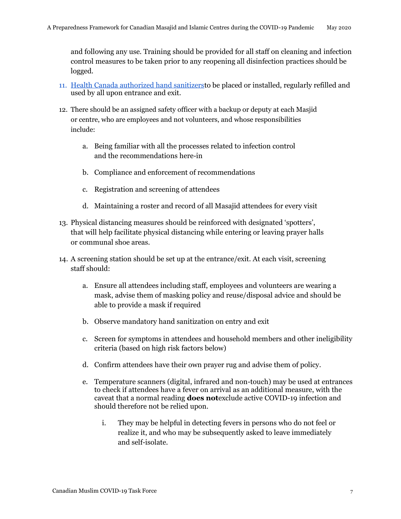and following any use. Training should be provided for all staff on cleaning and infection control measures to be taken prior to any reopening all disinfection practices should be logged.

- 11. [Health Canada authorized hand sanitizerst](https://www.canada.ca/en/health-canada/services/drugs-health-products/disinfectants/covid-19/hand-sanitizer.html)o be placed or installed, regularly refilled and used by all upon entrance and exit.
- 12. There should be an assigned safety officer with a backup or deputy at each Masjid or centre, who are employees and not volunteers, and whose responsibilities include:
	- a. Being familiar with all the processes related to infection control and the recommendations here-in
	- b. Compliance and enforcement of recommendations
	- c. Registration and screening of attendees
	- d. Maintaining a roster and record of all Masajid attendees for every visit
- 13. Physical distancing measures should be reinforced with designated 'spotters', that will help facilitate physical distancing while entering or leaving prayer halls or communal shoe areas.
- 14. A screening station should be set up at the entrance/exit. At each visit, screening staff should:
	- a. Ensure all attendees including staff, employees and volunteers are wearing a mask, advise them of masking policy and reuse/disposal advice and should be able to provide a mask if required
	- b. Observe mandatory hand sanitization on entry and exit
	- c. Screen for symptoms in attendees and household members and other ineligibility criteria (based on high risk factors below)
	- d. Confirm attendees have their own prayer rug and advise them of policy.
	- e. Temperature scanners (digital, infrared and non-touch) may be used at entrances to check if attendees have a fever on arrival as an additional measure, with the caveat that a normal reading **does not**exclude active COVID-19 infection and should therefore not be relied upon.
		- i. They may be helpful in detecting fevers in persons who do not feel or realize it, and who may be subsequently asked to leave immediately and self-isolate.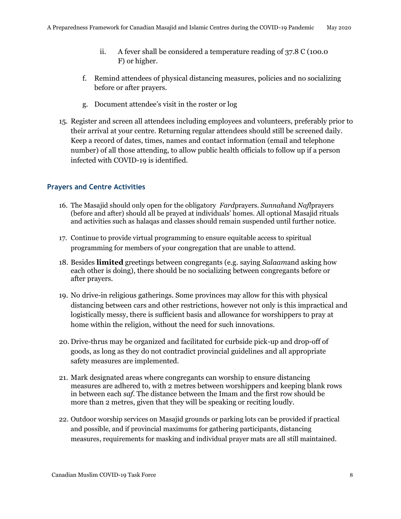- <span id="page-7-0"></span>ii. A fever shall be considered a temperature reading of 37.8 C (100.0 F) or higher.
- f. Remind attendees of physical distancing measures, policies and no socializing before or after prayers.
- g. Document attendee's visit in the roster or log
- 15. Register and screen all attendees including employees and volunteers, preferably prior to their arrival at your centre. Returning regular attendees should still be screened daily. Keep a record of dates, times, names and contact information (email and telephone number) of all those attending, to allow public health officials to follow up if a person infected with COVID-19 is identified.

# **Prayers and Centre Activities**

- 16. The Masajid should only open for the obligatory *Fard*prayers. *Sunnah*and *Nafl*prayers (before and after) should all be prayed at individuals' homes. All optional Masajid rituals and activities such as halaqas and classes should remain suspended until further notice.
- 17. Continue to provide virtual programming to ensure equitable access to spiritual programming for members of your congregation that are unable to attend.
- 18. Besides **limited** greetings between congregants (e.g. saying *Salaam*and asking how each other is doing), there should be no socializing between congregants before or after prayers.
- 19. No drive-in religious gatherings. Some provinces may allow for this with physical distancing between cars and other restrictions, however not only is this impractical and logistically messy, there is sufficient basis and allowance for worshippers to pray at home within the religion, without the need for such innovations.
- 20. Drive-thrus may be organized and facilitated for curbside pick-up and drop-off of goods, as long as they do not contradict provincial guidelines and all appropriate safety measures are implemented.
- 21. Mark designated areas where congregants can worship to ensure distancing measures are adhered to, with 2 metres between worshippers and keeping blank rows in between each *saf*. The distance between the Imam and the first row should be more than 2 metres, given that they will be speaking or reciting loudly.
- 22. Outdoor worship services on Masajid grounds or parking lots can be provided if practical and possible, and if provincial maximums for gathering participants, distancing measures, requirements for masking and individual prayer mats are all still maintained.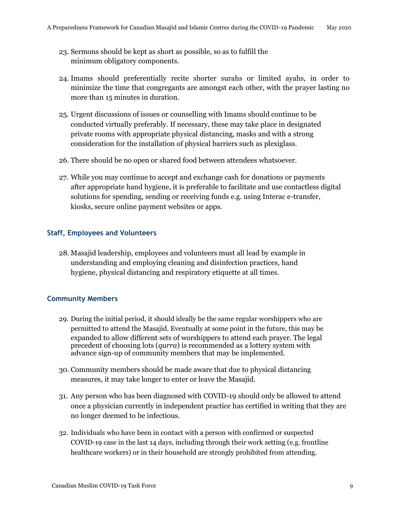- <span id="page-8-0"></span>23. Sermons should be kept as short as possible, so as to fulfill the minimum obligatory components.
- 24. Imams should preferentially recite shorter surahs or limited ayahs, in order to minimize the time that congregants are amongst each other, with the prayer lasting no more than 15 minutes in duration.
- 25. Urgent discussions of issues or counselling with Imams should continue to be conducted virtually preferably. If necessary, these may take place in designated private rooms with appropriate physical distancing, masks and with a strong consideration for the installation of physical barriers such as plexiglass.
- 26. There should be no open or shared food between attendees whatsoever.
- 27. While you may continue to accept and exchange cash for donations or payments after appropriate hand hygiene, it is preferable to facilitate and use contactless digital solutions for spending, sending or receiving funds e.g. using Interac e-transfer, kiosks, secure online payment websites or apps.

## **Staff, Employees and Volunteers**

28. Masajid leadership, employees and volunteers must all lead by example in understanding and employing cleaning and disinfection practices, hand hygiene, physical distancing and respiratory etiquette at all times.

## **Community Members**

- 29. During the initial period, it should ideally be the same regular worshippers who are permitted to attend the Masajid. Eventually at some point in the future, this may be expanded to allow different sets of worshippers to attend each prayer. The legal precedent of choosing lots (*qurra*) is recommended as a lottery system with advance sign-up of community members that may be implemented.
- 30. Community members should be made aware that due to physical distancing measures, it may take longer to enter or leave the Masajid.
- 31. Any person who has been diagnosed with COVID-19 should only be allowed to attend once a physician currently in independent practice has certified in writing that they are no longer deemed to be infectious.
- 32. Individuals who have been in contact with a person with confirmed or suspected COVID-19 case in the last 14 days, including through their work setting (e.g. frontline healthcare workers) or in their household are strongly prohibited from attending.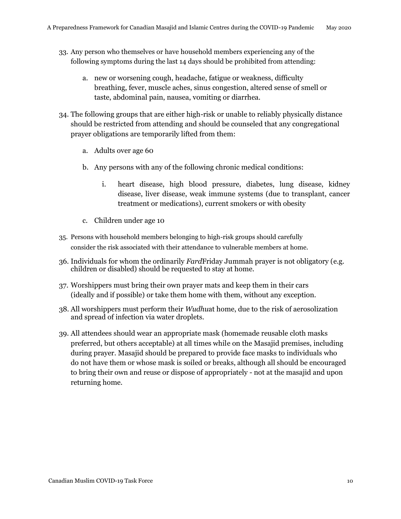- 33. Any person who themselves or have household members experiencing any of the following symptoms during the last 14 days should be prohibited from attending:
	- a. new or worsening cough, headache, fatigue or weakness, difficulty breathing, fever, muscle aches, sinus congestion, altered sense of smell or taste, abdominal pain, nausea, vomiting or diarrhea.
- 34. The following groups that are either high-risk or unable to reliably physically distance should be restricted from attending and should be counseled that any congregational prayer obligations are temporarily lifted from them:
	- a. Adults over age 60
	- b. Any persons with any of the following chronic medical conditions:
		- i. heart disease, high blood pressure, diabetes, lung disease, kidney disease, liver disease, weak immune systems (due to transplant, cancer treatment or medications), current smokers or with obesity
	- c. Children under age 10
- 35. Persons with household members belonging to high-risk groups should carefully consider the risk associated with their attendance to vulnerable members at home.
- 36. Individuals for whom the ordinarily *Fard*Friday Jummah prayer is not obligatory (e.g. children or disabled) should be requested to stay at home.
- 37. Worshippers must bring their own prayer mats and keep them in their cars (ideally and if possible) or take them home with them, without any exception.
- 38. All worshippers must perform their *Wudhu*at home, due to the risk of aerosolization and spread of infection via water droplets.
- 39. All attendees should wear an appropriate mask (homemade reusable cloth masks preferred, but others acceptable) at all times while on the Masajid premises, including during prayer. Masajid should be prepared to provide face masks to individuals who do not have them or whose mask is soiled or breaks, although all should be encouraged to bring their own and reuse or dispose of appropriately - not at the masajid and upon returning home.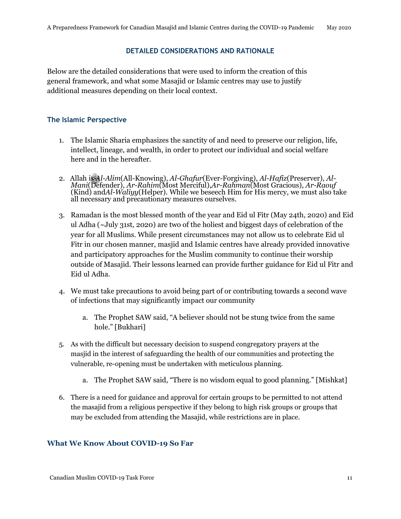#### **DETAILED CONSIDERATIONS AND RATIONALE**

<span id="page-10-0"></span>Below are the detailed considerations that were used to inform the creation of this general framework, and what some Masajid or Islamic centres may use to justify additional measures depending on their local context.

#### **The Islamic Perspective**

- 1. The Islamic Sharia emphasizes the sanctity of and need to preserve our religion, life, intellect, lineage, and wealth, in order to protect our individual and social welfare here and in the hereafter.
- 2. Allah is *Al-Alim*(All-Knowing), *Al-Ghafur*(Ever-Forgiving), *Al-Hafiz*(Preserver), *Al-Mani*(Defender), *Ar-Rahim*(Most Merciful),*Ar-Rahman*(Most Gracious), *Ar-Raouf*  (Kind) and*Al-Waliyy*(Helper). While we beseech Him for His mercy, we must also take all necessary and precautionary measures ourselves.
- 3. Ramadan is the most blessed month of the year and Eid ul Fitr (May 24th, 2020) and Eid ul Adha (~July 31st, 2020) are two of the holiest and biggest days of celebration of the year for all Muslims. While present circumstances may not allow us to celebrate Eid ul Fitr in our chosen manner, masjid and Islamic centres have already provided innovative and participatory approaches for the Muslim community to continue their worship outside of Masajid. Their lessons learned can provide further guidance for Eid ul Fitr and Eid ul Adha.
- 4. We must take precautions to avoid being part of or contributing towards a second wave of infections that may significantly impact our community
	- a. The Prophet SAW said, "A believer should not be stung twice from the same hole." [Bukhari]
- 5. As with the difficult but necessary decision to suspend congregatory prayers at the masjid in the interest of safeguarding the health of our communities and protecting the vulnerable, re-opening must be undertaken with meticulous planning.
	- a. The Prophet SAW said, "There is no wisdom equal to good planning." [Mishkat]
- 6. There is a need for guidance and approval for certain groups to be permitted to not attend the masajid from a religious perspective if they belong to high risk groups or groups that may be excluded from attending the Masajid, while restrictions are in place.

## **What We Know About COVID-19 So Far**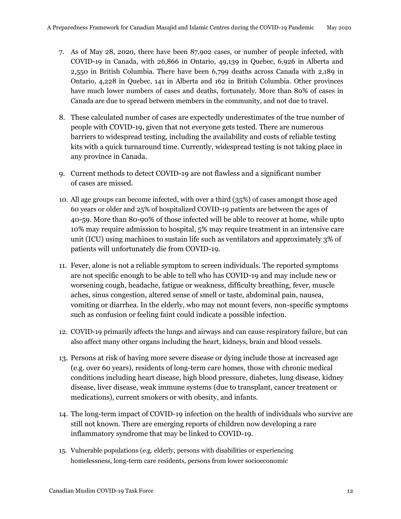- 7. As of May 28, 2020, there have been 87,902 cases, or number of people infected, with COVID-19 in Canada, with 26,866 in Ontario, 49,139 in Quebec, 6,926 in Alberta and 2,550 in British Columbia. There have been 6,799 deaths across Canada with 2,189 in Ontario, 4,228 in Quebec, 141 in Alberta and 162 in British Columbia. Other provinces have much lower numbers of cases and deaths, fortunately. More than 80% of cases in Canada are due to spread between members in the community, and not due to travel.
- 8. These calculated number of cases are expectedly underestimates of the true number of people with COVID-19, given that not everyone gets tested. There are numerous barriers to widespread testing, including the availability and costs of reliable testing kits with a quick turnaround time. Currently, widespread testing is not taking place in any province in Canada.
- 9. Current methods to detect COVID-19 are not flawless and a significant number of cases are missed.
- 10. All age groups can become infected, with over a third (35%) of cases amongst those aged 60 years or older and 25% of hospitalized COVID-19 patients are between the ages 0f 40-59. More than 80-90% of those infected will be able to recover at home, while upto 10% may require admission to hospital, 5% may require treatment in an intensive care unit (ICU) using machines to sustain life such as ventilators and approximately 3% of patients will unfortunately die from COVID-19.
- 11. Fever, alone is not a reliable symptom to screen individuals. The reported symptoms are not specific enough to be able to tell who has COVID-19 and may include new or worsening cough, headache, fatigue or weakness, difficulty breathing, fever, muscle aches, sinus congestion, altered sense of smell or taste, abdominal pain, nausea, vomiting or diarrhea. In the elderly, who may not mount fevers, non-specific symptoms such as confusion or feeling faint could indicate a possible infection.
- 12. COVID-19 primarily affects the lungs and airways and can cause respiratory failure, but can also affect many other organs including the heart, kidneys, brain and blood vessels.
- 13. Persons at risk of having more severe disease or dying include those at increased age (e.g. over 60 years), residents of long-term care homes, those with chronic medical conditions including heart disease, high blood pressure, diabetes, lung disease, kidney disease, liver disease, weak immune systems (due to transplant, cancer treatment or medications), current smokers or with obesity, and infants.
- 14. The long-term impact of COVID-19 infection on the health of individuals who survive are still not known. There are emerging reports of children now developing a rare inflammatory syndrome that may be linked to COVID-19.
- 15. Vulnerable populations (e.g. elderly, persons with disabilities or experiencing homelessness, long-term care residents, persons from lower socioeconomic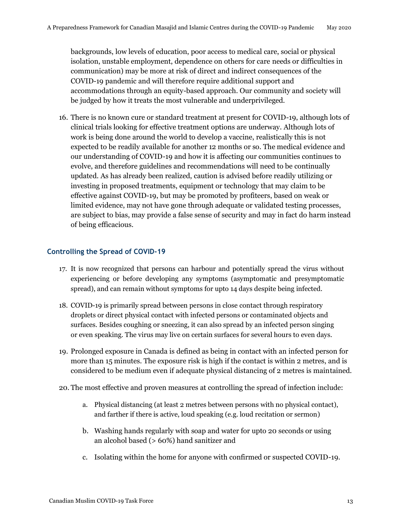<span id="page-12-0"></span>backgrounds, low levels of education, poor access to medical care, social or physical isolation, unstable employment, dependence on others for care needs or difficulties in communication) may be more at risk of direct and indirect consequences of the COVID-19 pandemic and will therefore require additional support and accommodations through an equity-based approach. Our community and society will be judged by how it treats the most vulnerable and underprivileged.

16. There is no known cure or standard treatment at present for COVID-19, although lots of clinical trials looking for effective treatment options are underway. Although lots of work is being done around the world to develop a vaccine, realistically this is not expected to be readily available for another 12 months or so. The medical evidence and our understanding of COVID-19 and how it is affecting our communities continues to evolve, and therefore guidelines and recommendations will need to be continually updated. As has already been realized, caution is advised before readily utilizing or investing in proposed treatments, equipment or technology that may claim to be effective against COVID-19, but may be promoted by profiteers, based on weak or limited evidence, may not have gone through adequate or validated testing processes, are subject to bias, may provide a false sense of security and may in fact do harm instead of being efficacious.

# **Controlling the Spread of COVID-19**

- 17. It is now recognized that persons can harbour and potentially spread the virus without experiencing or before developing any symptoms (asymptomatic and presymptomatic spread), and can remain without symptoms for upto 14 days despite being infected.
- 18. COVID-19 is primarily spread between persons in close contact through respiratory droplets or direct physical contact with infected persons or contaminated objects and surfaces. Besides coughing or sneezing, it can also spread by an infected person singing or even speaking. The virus may live on certain surfaces for several hours to even days.
- 19. Prolonged exposure in Canada is defined as being in contact with an infected person for more than 15 minutes. The exposure risk is high if the contact is within 2 metres, and is considered to be medium even if adequate physical distancing of 2 metres is maintained.
- 20. The most effective and proven measures at controlling the spread of infection include:
	- a. Physical distancing (at least 2 metres between persons with no physical contact), and farther if there is active, loud speaking (e.g. loud recitation or sermon)
	- b. Washing hands regularly with soap and water for upto 20 seconds or using an alcohol based (> 60%) hand sanitizer and
	- c. Isolating within the home for anyone with confirmed or suspected COVID-19.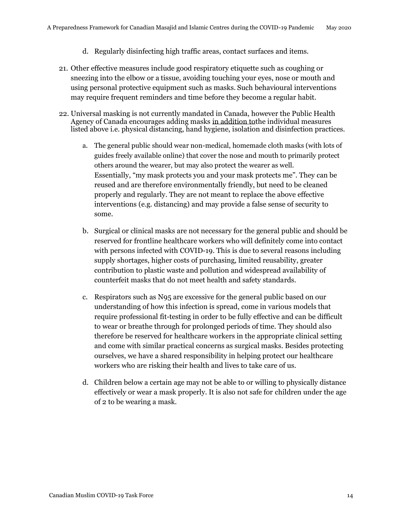- d. Regularly disinfecting high traffic areas, contact surfaces and items.
- 21. Other effective measures include good respiratory etiquette such as coughing or sneezing into the elbow or a tissue, avoiding touching your eyes, nose or mouth and using personal protective equipment such as masks. Such behavioural interventions may require frequent reminders and time before they become a regular habit.
- 22. Universal masking is not currently mandated in Canada, however the Public Health Agency of Canada encourages adding masks in addition tothe individual measures listed above i.e. physical distancing, hand hygiene, isolation and disinfection practices.
	- a. The general public should wear non-medical, homemade cloth masks (with lots of guides freely available online) that cover the nose and mouth to primarily protect others around the wearer, but may also protect the wearer as well. Essentially, "my mask protects you and your mask protects me". They can be reused and are therefore environmentally friendly, but need to be cleaned properly and regularly. They are not meant to replace the above effective interventions (e.g. distancing) and may provide a false sense of security to some.
	- b. Surgical or clinical masks are not necessary for the general public and should be reserved for frontline healthcare workers who will definitely come into contact with persons infected with COVID-19. This is due to several reasons including supply shortages, higher costs of purchasing, limited reusability, greater contribution to plastic waste and pollution and widespread availability of counterfeit masks that do not meet health and safety standards.
	- c. Respirators such as N95 are excessive for the general public based on our understanding of how this infection is spread, come in various models that require professional fit-testing in order to be fully effective and can be difficult to wear or breathe through for prolonged periods of time. They should also therefore be reserved for healthcare workers in the appropriate clinical setting and come with similar practical concerns as surgical masks. Besides protecting ourselves, we have a shared responsibility in helping protect our healthcare workers who are risking their health and lives to take care of us.
	- d. Children below a certain age may not be able to or willing to physically distance effectively or wear a mask properly. It is also not safe for children under the age of 2 to be wearing a mask.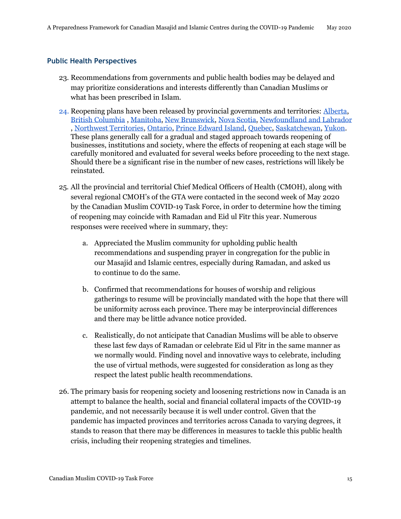# <span id="page-14-0"></span>**Public Health Perspectives**

- 23. Recommendations from governments and public health bodies may be delayed and may prioritize considerations and interests differently than Canadian Muslims or what has been prescribed in Islam.
- 24. Reopening plans have been released by provincial governments and territories: [Alberta,](https://www.alberta.ca/alberta-relaunch-strategy.aspx?utm_source=google&utm_medium=sem&utm_campaign=Relaunch&utm_term=General&utm_content=v3&gclid=Cj0KCQjw-r71BRDuARIsAB7i_QNeihDkKpwMdU2XIAoLAOeKwLFMaDsTUmHMOkT1MwtOXzuvNd17q0QaAvcDEALw_wcB) [British Columbia](https://www2.gov.bc.ca/gov/content/safety/emergency-preparedness-response-recovery/covid-19-provincial-support/bc-restart-plan) , [Manitoba,](https://www.gov.mb.ca/covid19/restoring/approach.html) [New Brunswick,](https://www2.gnb.ca/content/gnb/en/corporate/promo/covid-19/recovery.html) [Nova Scotia,](https://novascotia.ca/coronavirus/restriction-updates/) [Newfoundland and Labrador](https://www.gov.nl.ca/covid-19/)  , [Northwest Territories,](https://www.gov.nt.ca/covid-19/en/services/public-health-orders/emerging-wisely) [Ontario,](https://www.ontario.ca/page/reopening-ontario-after-covid-19) [Prince Edward Island,](https://www.princeedwardisland.ca/en/topic/renew-stages) [Quebec,](https://www.quebec.ca/en/health/health-issues/a-z/2019-coronavirus/gradual-resumption-activities-covid19-related-pause/) [Saskatchewan,](https://www.saskatchewan.ca/residents/~/link.aspx?_id=402D2D88BC4A4C52AFE1DC49B30ECFE1&_z=z) [Yukon.](https://yukon.ca/en/path-forward-yukons-plan-lifting-covid-19-restrictions) These plans generally call for a gradual and staged approach towards reopening of businesses, institutions and society, where the effects of reopening at each stage will be carefully monitored and evaluated for several weeks before proceeding to the next stage. Should there be a significant rise in the number of new cases, restrictions will likely be reinstated.
- 25. All the provincial and territorial Chief Medical Officers of Health (CMOH), along with several regional CMOH's of the GTA were contacted in the second week of May 2020 by the Canadian Muslim COVID-19 Task Force, in order to determine how the timing of reopening may coincide with Ramadan and Eid ul Fitr this year. Numerous responses were received where in summary, they:
	- a. Appreciated the Muslim community for upholding public health recommendations and suspending prayer in congregation for the public in our Masajid and Islamic centres, especially during Ramadan, and asked us to continue to do the same.
	- b. Confirmed that recommendations for houses of worship and religious gatherings to resume will be provincially mandated with the hope that there will be uniformity across each province. There may be interprovincial differences and there may be little advance notice provided.
	- c. Realistically, do not anticipate that Canadian Muslims will be able to observe these last few days of Ramadan or celebrate Eid ul Fitr in the same manner as we normally would. Finding novel and innovative ways to celebrate, including the use of virtual methods, were suggested for consideration as long as they respect the latest public health recommendations.
- 26. The primary basis for reopening society and loosening restrictions now in Canada is an attempt to balance the health, social and financial collateral impacts of the COVID-19 pandemic, and not necessarily because it is well under control. Given that the pandemic has impacted provinces and territories across Canada to varying degrees, it stands to reason that there may be differences in measures to tackle this public health crisis, including their reopening strategies and timelines.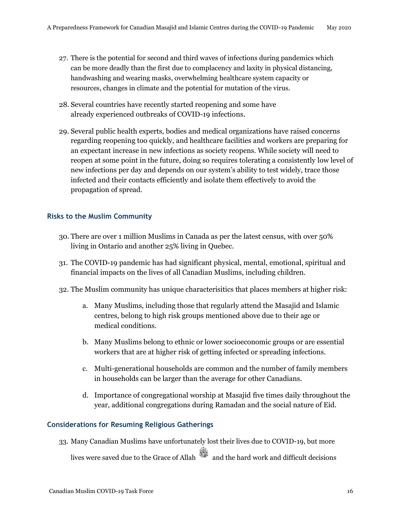- <span id="page-15-0"></span>27. There is the potential for second and third waves of infections during pandemics which can be more deadly than the first due to complacency and laxity in physical distancing, handwashing and wearing masks, overwhelming healthcare system capacity or resources, changes in climate and the potential for mutation of the virus.
- 28. Several countries have recently started reopening and some have already experienced outbreaks of COVID-19 infections.
- 29. Several public health experts, bodies and medical organizations have raised concerns regarding reopening too quickly, and healthcare facilities and workers are preparing for an expectant increase in new infections as society reopens. While society will need to reopen at some point in the future, doing so requires tolerating a consistently low level of new infections per day and depends on our system's ability to test widely, trace those infected and their contacts efficiently and isolate them effectively to avoid the propagation of spread.

# **Risks to the Muslim Community**

- 30. There are over 1 million Muslims in Canada as per the latest census, with over 50% living in Ontario and another 25% living in Quebec.
- 31. The COVID-19 pandemic has had significant physical, mental, emotional, spiritual and financial impacts on the lives of all Canadian Muslims, including children.
- 32. The Muslim community has unique characterisitics that places members at higher risk:
	- a. Many Muslims, including those that regularly attend the Masajid and Islamic centres, belong to high risk groups mentioned above due to their age or medical conditions.
	- b. Many Muslims belong to ethnic or lower socioeconomic groups or are essential workers that are at higher risk of getting infected or spreading infections.
	- c. Multi-generational households are common and the number of family members in households can be larger than the average for other Canadians.
	- d. Importance of congregational worship at Masajid five times daily throughout the year, additional congregations during Ramadan and the social nature of Eid.

## **Considerations for Resuming Religious Gatherings**

33. Many Canadian Muslims have unfortunately lost their lives due to COVID-19, but more lives were saved due to the Grace of Allah and the hard work and difficult decisions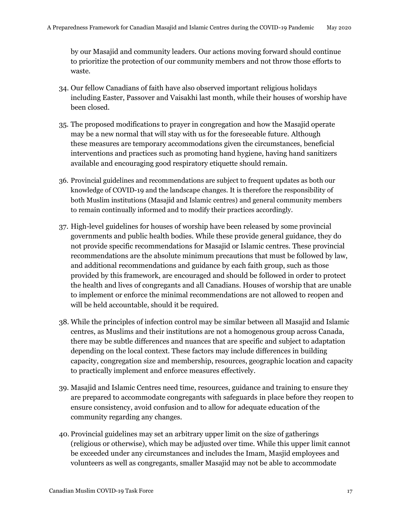by our Masajid and community leaders. Our actions moving forward should continue to prioritize the protection of our community members and not throw those efforts to waste.

- 34. Our fellow Canadians of faith have also observed important religious holidays including Easter, Passover and Vaisakhi last month, while their houses of worship have been closed.
- 35. The proposed modifications to prayer in congregation and how the Masajid operate may be a new normal that will stay with us for the foreseeable future. Although these measures are temporary accommodations given the circumstances, beneficial interventions and practices such as promoting hand hygiene, having hand sanitizers available and encouraging good respiratory etiquette should remain.
- 36. Provincial guidelines and recommendations are subject to frequent updates as both our knowledge of COVID-19 and the landscape changes. It is therefore the responsibility of both Muslim institutions (Masajid and Islamic centres) and general community members to remain continually informed and to modify their practices accordingly.
- 37. High-level guidelines for houses of worship have been released by some provincial governments and public health bodies. While these provide general guidance, they do not provide specific recommendations for Masajid or Islamic centres. These provincial recommendations are the absolute minimum precautions that must be followed by law, and additional recommendations and guidance by each faith group, such as those provided by this framework, are encouraged and should be followed in order to protect the health and lives of congregants and all Canadians. Houses of worship that are unable to implement or enforce the minimal recommendations are not allowed to reopen and will be held accountable, should it be required.
- 38. While the principles of infection control may be similar between all Masajid and Islamic centres, as Muslims and their institutions are not a homogenous group across Canada, there may be subtle differences and nuances that are specific and subject to adaptation depending on the local context. These factors may include differences in building capacity, congregation size and membership, resources, geographic location and capacity to practically implement and enforce measures effectively.
- 39. Masajid and Islamic Centres need time, resources, guidance and training to ensure they are prepared to accommodate congregants with safeguards in place before they reopen to ensure consistency, avoid confusion and to allow for adequate education of the community regarding any changes.
- 40. Provincial guidelines may set an arbitrary upper limit on the size of gatherings (religious or otherwise), which may be adjusted over time. While this upper limit cannot be exceeded under any circumstances and includes the Imam, Masjid employees and volunteers as well as congregants, smaller Masajid may not be able to accommodate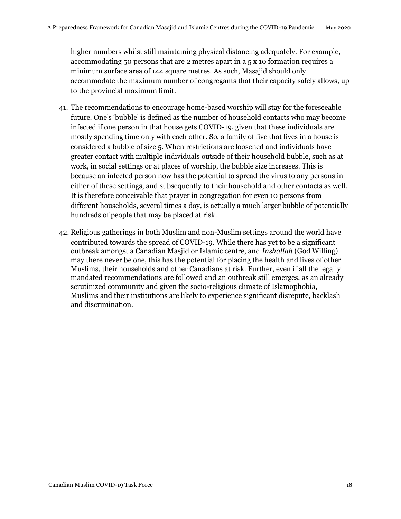higher numbers whilst still maintaining physical distancing adequately. For example, accommodating 50 persons that are 2 metres apart in a 5 x 10 formation requires a minimum surface area of 144 square metres. As such, Masajid should only accommodate the maximum number of congregants that their capacity safely allows, up to the provincial maximum limit.

- 41. The recommendations to encourage home-based worship will stay for the foreseeable future. One's 'bubble' is defined as the number of household contacts who may become infected if one person in that house gets COVID-19, given that these individuals are mostly spending time only with each other. So, a family of five that lives in a house is considered a bubble of size 5. When restrictions are loosened and individuals have greater contact with multiple individuals outside of their household bubble, such as at work, in social settings or at places of worship, the bubble size increases. This is because an infected person now has the potential to spread the virus to any persons in either of these settings, and subsequently to their household and other contacts as well. It is therefore conceivable that prayer in congregation for even 10 persons from different households, several times a day, is actually a much larger bubble of potentially hundreds of people that may be placed at risk.
- 42. Religious gatherings in both Muslim and non-Muslim settings around the world have contributed towards the spread of COVID-19. While there has yet to be a significant outbreak amongst a Canadian Masjid or Islamic centre, and *Inshallah* (God Willing) may there never be one, this has the potential for placing the health and lives of other Muslims, their households and other Canadians at risk. Further, even if all the legally mandated recommendations are followed and an outbreak still emerges, as an already scrutinized community and given the socio-religious climate of Islamophobia, Muslims and their institutions are likely to experience significant disrepute, backlash and discrimination.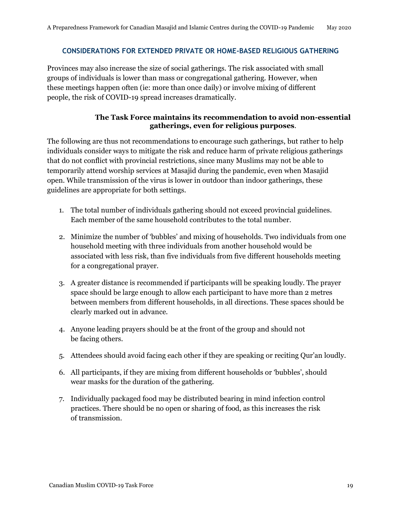#### <span id="page-18-0"></span>**CONSIDERATIONS FOR EXTENDED PRIVATE OR HOME-BASED RELIGIOUS GATHERING**

Provinces may also increase the size of social gatherings. The risk associated with small groups of individuals is lower than mass or congregational gathering. However, when these meetings happen often (ie: more than once daily) or involve mixing of different people, the risk of COVID-19 spread increases dramatically.

# **The Task Force maintains its recommendation to avoid non-essential gatherings, even for religious purposes**.

The following are thus not recommendations to encourage such gatherings, but rather to help individuals consider ways to mitigate the risk and reduce harm of private religious gatherings that do not conflict with provincial restrictions, since many Muslims may not be able to temporarily attend worship services at Masajid during the pandemic, even when Masajid open. While transmission of the virus is lower in outdoor than indoor gatherings, these guidelines are appropriate for both settings.

- 1. The total number of individuals gathering should not exceed provincial guidelines. Each member of the same household contributes to the total number.
- 2. Minimize the number of 'bubbles' and mixing of households. Two individuals from one household meeting with three individuals from another household would be associated with less risk, than five individuals from five different households meeting for a congregational prayer.
- 3. A greater distance is recommended if participants will be speaking loudly. The prayer space should be large enough to allow each participant to have more than 2 metres between members from different households, in all directions. These spaces should be clearly marked out in advance.
- 4. Anyone leading prayers should be at the front of the group and should not be facing others.
- 5. Attendees should avoid facing each other if they are speaking or reciting Qur'an loudly.
- 6. All participants, if they are mixing from different households or 'bubbles', should wear masks for the duration of the gathering.
- 7. Individually packaged food may be distributed bearing in mind infection control practices. There should be no open or sharing of food, as this increases the risk of transmission.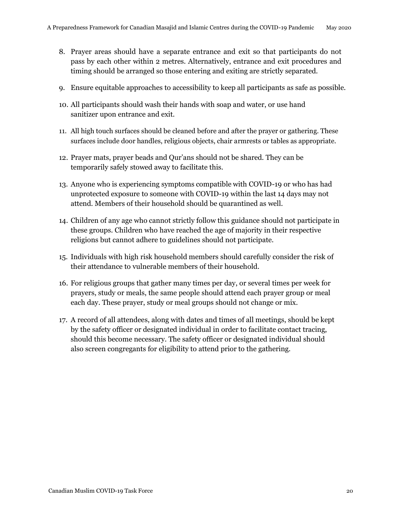- 8. Prayer areas should have a separate entrance and exit so that participants do not pass by each other within 2 metres. Alternatively, entrance and exit procedures and timing should be arranged so those entering and exiting are strictly separated.
- 9. Ensure equitable approaches to accessibility to keep all participants as safe as possible.
- 10. All participants should wash their hands with soap and water, or use hand sanitizer upon entrance and exit.
- 11. All high touch surfaces should be cleaned before and after the prayer or gathering. These surfaces include door handles, religious objects, chair armrests or tables as appropriate.
- 12. Prayer mats, prayer beads and Qur'ans should not be shared. They can be temporarily safely stowed away to facilitate this.
- 13. Anyone who is experiencing symptoms compatible with COVID-19 or who has had unprotected exposure to someone with COVID-19 within the last 14 days may not attend. Members of their household should be quarantined as well.
- 14. Children of any age who cannot strictly follow this guidance should not participate in these groups. Children who have reached the age of majority in their respective religions but cannot adhere to guidelines should not participate.
- 15. Individuals with high risk household members should carefully consider the risk of their attendance to vulnerable members of their household.
- 16. For religious groups that gather many times per day, or several times per week for prayers, study or meals, the same people should attend each prayer group or meal each day. These prayer, study or meal groups should not change or mix.
- 17. A record of all attendees, along with dates and times of all meetings, should be kept by the safety officer or designated individual in order to facilitate contact tracing, should this become necessary. The safety officer or designated individual should also screen congregants for eligibility to attend prior to the gathering.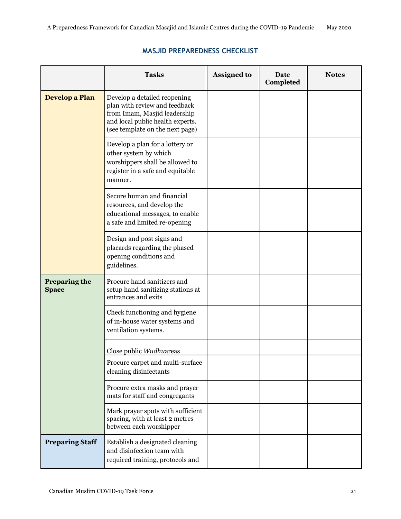# <span id="page-20-0"></span>**Tasks Assigned to Date Notes Completed Develop a Plan** Develop a detailed reopening plan with review and feedback from Imam, Masjid leadership and local public health experts. (see template on the next page) Develop a plan for a lottery or other system by which worshippers shall be allowed to register in a safe and equitable manner. Secure human and financial resources, and develop the educational messages, to enable a safe and limited re-opening Design and post signs and placards regarding the phased opening conditions and guidelines. **Preparing the** Procure hand sanitizers and **Space** setup hand sanitizing stations at entrances and exits Check functioning and hygiene of in-house water systems and ventilation systems. Close public *Wudhu*areas Procure carpet and multi-surface cleaning disinfectants Procure extra masks and prayer mats for staff and congregants Mark prayer spots with sufficient spacing, with at least 2 metres between each worshipper **Preparing Staff** Establish a designated cleaning and disinfection team with required training, protocols and

# **MASJID PREPAREDNESS CHECKLIST**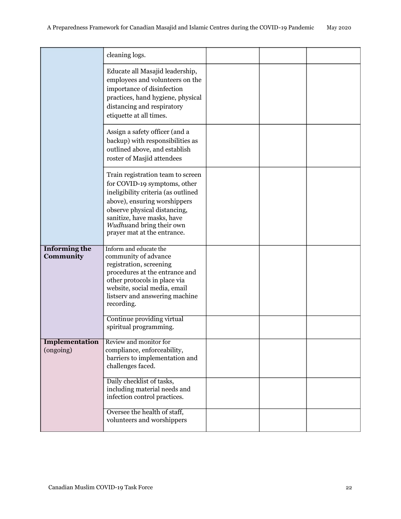|                                    | cleaning logs.                                                                                                                                                                                                                                                    |  |  |
|------------------------------------|-------------------------------------------------------------------------------------------------------------------------------------------------------------------------------------------------------------------------------------------------------------------|--|--|
|                                    | Educate all Masajid leadership,<br>employees and volunteers on the<br>importance of disinfection<br>practices, hand hygiene, physical<br>distancing and respiratory<br>etiquette at all times.                                                                    |  |  |
|                                    | Assign a safety officer (and a<br>backup) with responsibilities as<br>outlined above, and establish<br>roster of Masjid attendees                                                                                                                                 |  |  |
|                                    | Train registration team to screen<br>for COVID-19 symptoms, other<br>ineligibility criteria (as outlined<br>above), ensuring worshippers<br>observe physical distancing,<br>sanitize, have masks, have<br>Wudhuand bring their own<br>prayer mat at the entrance. |  |  |
| <b>Informing the</b><br>Community  | Inform and educate the<br>community of advance<br>registration, screening<br>procedures at the entrance and<br>other protocols in place via<br>website, social media, email<br>listserv and answering machine<br>recording.                                       |  |  |
|                                    | Continue providing virtual<br>spiritual programming.                                                                                                                                                                                                              |  |  |
| <b>Implementation</b><br>(ongoing) | Review and monitor for<br>compliance, enforceability,<br>barriers to implementation and<br>challenges faced.                                                                                                                                                      |  |  |
|                                    | Daily checklist of tasks,<br>including material needs and<br>infection control practices.                                                                                                                                                                         |  |  |
|                                    | Oversee the health of staff,<br>volunteers and worshippers                                                                                                                                                                                                        |  |  |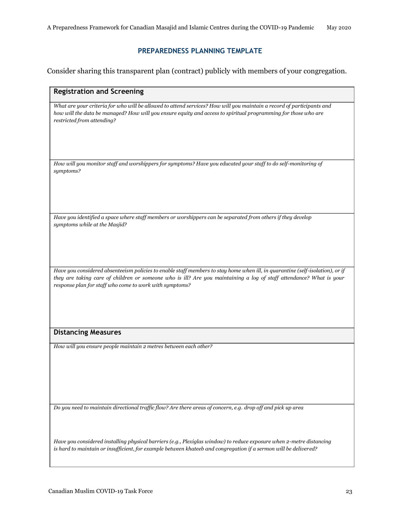# **PREPAREDNESS PLANNING TEMPLATE**

<span id="page-22-0"></span>Consider sharing this transparent plan (contract) publicly with members of your congregation.

| <b>Registration and Screening</b>                                                                                                                                                                                                                                                                               |
|-----------------------------------------------------------------------------------------------------------------------------------------------------------------------------------------------------------------------------------------------------------------------------------------------------------------|
| What are your criteria for who will be allowed to attend services? How will you maintain a record of participants and<br>how will the data be managed? How will you ensure equity and access to spiritual programming for those who are<br>restricted from attending?                                           |
| How will you monitor staff and worshippers for symptoms? Have you educated your staff to do self-monitoring of<br>symptoms?                                                                                                                                                                                     |
| Have you identified a space where staff members or worshippers can be separated from others if they develop<br>symptoms while at the Masjid?                                                                                                                                                                    |
| Have you considered absenteeism policies to enable staff members to stay home when ill, in quarantine (self-isolation), or if<br>they are taking care of children or someone who is ill? Are you maintaining a log of staff attendance? What is your<br>response plan for staff who come to work with symptoms? |
| <b>Distancing Measures</b>                                                                                                                                                                                                                                                                                      |
| How will you ensure people maintain 2 metres between each other?                                                                                                                                                                                                                                                |

*Do you need to maintain directional traffic flow? Are there areas of concern, e.g. drop off and pick up area*

*Have you considered installing physical barriers (e.g., Plexiglas window) to reduce exposure when 2-metre distancing is hard to maintain or insufficient, for example between khateeb and congregation if a sermon will be delivered?*